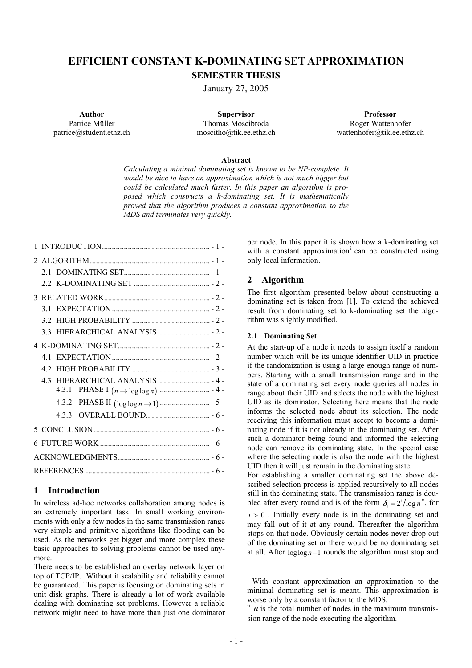# **EFFICIENT CONSTANT K-DOMINATING SET APPROXIMATION SEMESTER THESIS**

January 27, 2005

**Author**  Patrice Müller patrice@student.ethz.ch

**Supervisor**  Thomas Moscibroda moscitho@tik.ee.ethz.ch

**Professor**  Roger Wattenhofer wattenhofer@tik.ee.ethz.ch

#### **Abstract**

*Calculating a minimal dominating set is known to be NP-complete. It would be nice to have an approximation which is not much bigger but could be calculated much faster. In this paper an algorithm is proposed which constructs a k-dominating set. It is mathematically proved that the algorithm produces a constant approximation to the MDS and terminates very quickly.* 

|  | 33 |  |  |
|--|----|--|--|
|  |    |  |  |
|  |    |  |  |
|  |    |  |  |
|  |    |  |  |
|  |    |  |  |
|  |    |  |  |
|  |    |  |  |
|  |    |  |  |
|  |    |  |  |
|  |    |  |  |
|  |    |  |  |
|  |    |  |  |

# **1 Introduction**

In wireless ad-hoc networks collaboration among nodes is an extremely important task. In small working environments with only a few nodes in the same transmission range very simple and primitive algorithms like flooding can be used. As the networks get bigger and more complex these basic approaches to solving problems cannot be used anymore.

There needs to be established an overlay network layer on top of TCP/IP. Without it scalability and reliability cannot be guaranteed. This paper is focusing on dominating sets in unit disk graphs. There is already a lot of work available dealing with dominating set problems. However a reliable network might need to have more than just one dominator

per node. In this paper it is shown how a k-dominating set with a constant approximation<sup> $\text{ }$ </sup> can be constructed using only local information.

# **2 Algorithm**

The first algorithm presented below about constructing a dominating set is taken from [1]. To extend the achieved result from dominating set to k-dominating set the algorithm was slightly modified.

#### **2.1 Dominating Set**

At the start-up of a node it needs to assign itself a random number which will be its unique identifier UID in practice if the randomization is using a large enough range of numbers. Starting with a small transmission range and in the state of a dominating set every node queries all nodes in range about their UID and selects the node with the highest UID as its dominator. Selecting here means that the node informs the selected node about its selection. The node receiving this information must accept to become a dominating node if it is not already in the dominating set. After such a dominator being found and informed the selecting node can remove its dominating state. In the special case where the selecting node is also the node with the highest UID then it will just remain in the dominating state.

For establishing a smaller dominating set the above described selection process is applied recursively to all nodes still in the dominating state. The transmission range is doubled after every round and is of the form  $\delta_i = 2^i / \log n^{i i}$ , for

 $i > 0$ . Initially every node is in the dominating set and may fall out of it at any round. Thereafter the algorithm stops on that node. Obviously certain nodes never drop out of the dominating set or there would be no dominating set at all. After  $log log n - 1$  rounds the algorithm must stop and

l

i With constant approximation an approximation to the minimal dominating set is meant. This approximation is worse only by a constant factor to the MDS.  $\frac{ii}{n}$  *n* is the total number of nodes in the maximum transmis-

sion range of the node executing the algorithm.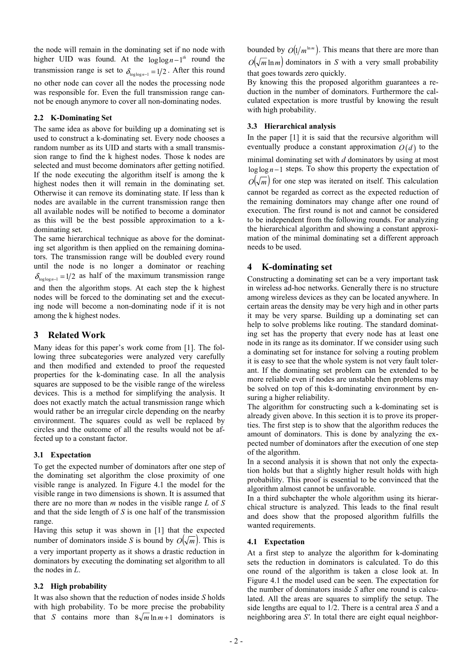the node will remain in the dominating set if no node with higher UID was found. At the  $\log \log n - 1$ <sup>th</sup> round the transmission range is set to  $\delta_{\log \log n - 1} = 1/2$ . After this round no other node can cover all the nodes the processing node was responsible for. Even the full transmission range cannot be enough anymore to cover all non-dominating nodes.

#### **2.2 K-Dominating Set**

The same idea as above for building up a dominating set is used to construct a k-dominating set. Every node chooses a random number as its UID and starts with a small transmission range to find the k highest nodes. Those k nodes are selected and must become dominators after getting notified. If the node executing the algorithm itself is among the k highest nodes then it will remain in the dominating set. Otherwise it can remove its dominating state. If less than k nodes are available in the current transmission range then all available nodes will be notified to become a dominator as this will be the best possible approximation to a kdominating set.

The same hierarchical technique as above for the dominating set algorithm is then applied on the remaining dominators. The transmission range will be doubled every round until the node is no longer a dominator or reaching  $\delta_{\log \log n - 1} = 1/2$  as half of the maximum transmission range and then the algorithm stops. At each step the k highest nodes will be forced to the dominating set and the execut-

ing node will become a non-dominating node if it is not among the k highest nodes.

## **3 Related Work**

Many ideas for this paper's work come from [1]. The following three subcategories were analyzed very carefully and then modified and extended to proof the requested properties for the k-dominating case. In all the analysis squares are supposed to be the visible range of the wireless devices. This is a method for simplifying the analysis. It does not exactly match the actual transmission range which would rather be an irregular circle depending on the nearby environment. The squares could as well be replaced by circles and the outcome of all the results would not be affected up to a constant factor.

### **3.1 Expectation**

To get the expected number of dominators after one step of the dominating set algorithm the close proximity of one visible range is analyzed. In Figure 4.1 the model for the visible range in two dimensions is shown. It is assumed that there are no more than *m* nodes in the visible range *L* of *S* and that the side length of *S* is one half of the transmission range.

Having this setup it was shown in [1] that the expected number of dominators inside *S* is bound by  $O(\sqrt{m})$ . This is a very important property as it shows a drastic reduction in dominators by executing the dominating set algorithm to all the nodes in *L*.

### **3.2 High probability**

It was also shown that the reduction of nodes inside *S* holds with high probability. To be more precise the probability that *S* contains more than  $8\sqrt{m} \ln m + 1$  dominators is bounded by  $O(1/m^{\ln m})$ . This means that there are more than  $O(\sqrt{m} \ln m)$  dominators in *S* with a very small probability that goes towards zero quickly.

By knowing this the proposed algorithm guarantees a reduction in the number of dominators. Furthermore the calculated expectation is more trustful by knowing the result with high probability.

#### **3.3 Hierarchical analysis**

In the paper [1] it is said that the recursive algorithm will eventually produce a constant approximation  $O(d)$  to the

minimal dominating set with *d* dominators by using at most  $\log \log n - 1$  steps. To show this property the expectation of  $O(\sqrt{m})$  for one step was iterated on itself. This calculation cannot be regarded as correct as the expected reduction of the remaining dominators may change after one round of execution. The first round is not and cannot be considered to be independent from the following rounds. For analyzing the hierarchical algorithm and showing a constant approximation of the minimal dominating set a different approach needs to be used.

### **4 K-dominating set**

Constructing a dominating set can be a very important task in wireless ad-hoc networks. Generally there is no structure among wireless devices as they can be located anywhere. In certain areas the density may be very high and in other parts it may be very sparse. Building up a dominating set can help to solve problems like routing. The standard dominating set has the property that every node has at least one node in its range as its dominator. If we consider using such a dominating set for instance for solving a routing problem it is easy to see that the whole system is not very fault tolerant. If the dominating set problem can be extended to be more reliable even if nodes are unstable then problems may be solved on top of this k-dominating environment by ensuring a higher reliability.

The algorithm for constructing such a k-dominating set is already given above. In this section it is to prove its properties. The first step is to show that the algorithm reduces the amount of dominators. This is done by analyzing the expected number of dominators after the execution of one step of the algorithm.

In a second analysis it is shown that not only the expectation holds but that a slightly higher result holds with high probability. This proof is essential to be convinced that the algorithm almost cannot be unfavorable.

In a third subchapter the whole algorithm using its hierarchical structure is analyzed. This leads to the final result and does show that the proposed algorithm fulfills the wanted requirements.

## **4.1 Expectation**

At a first step to analyze the algorithm for k-dominating sets the reduction in dominators is calculated. To do this one round of the algorithm is taken a close look at. In Figure 4.1 the model used can be seen. The expectation for the number of dominators inside *S* after one round is calculated. All the areas are squares to simplify the setup. The side lengths are equal to 1/2. There is a central area *S* and a neighboring area *S'*. In total there are eight equal neighbor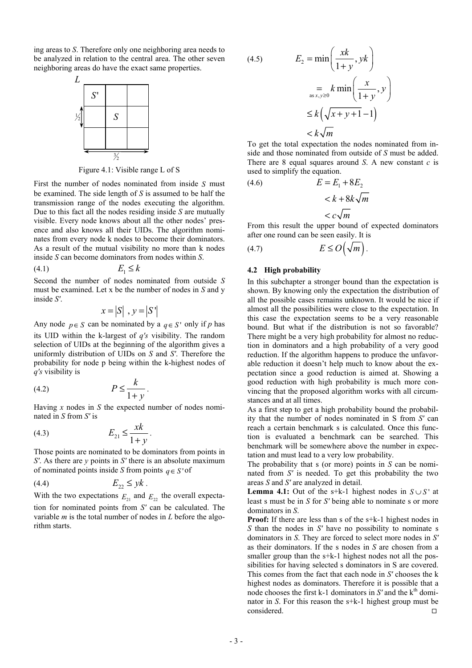ing areas to *S*. Therefore only one neighboring area needs to be analyzed in relation to the central area. The other seven neighboring areas do have the exact same properties.



Figure 4.1: Visible range L of S

First the number of nodes nominated from inside *S* must be examined. The side length of *S* is assumed to be half the transmission range of the nodes executing the algorithm. Due to this fact all the nodes residing inside *S* are mutually visible. Every node knows about all the other nodes' presence and also knows all their UIDs. The algorithm nominates from every node k nodes to become their dominators. As a result of the mutual visibility no more than k nodes inside *S* can become dominators from nodes within *S*.

$$
(4.1) \t\t\t E_1 \le k
$$

Second the number of nodes nominated from outside *S* must be examined. Let x be the number of nodes in *S* and y inside *S'*.

$$
x = |S|, y = |S'|
$$

Any node  $p \in S$  can be nominated by a  $q \in S'$  only if p has its UID within the k-largest of *q's* visibility. The random selection of UIDs at the beginning of the algorithm gives a uniformly distribution of UIDs on *S* and *S'*. Therefore the probability for node p being within the k-highest nodes of *q's* visibility is

$$
(4.2) \t\t P \le \frac{k}{1+y}.
$$

Having *x* nodes in *S* the expected number of nodes nominated in *S* from *S'* is

(4.3) 
$$
E_{21} \leq \frac{xk}{1+y}.
$$

Those points are nominated to be dominators from points in *S'*. As there are *y* points in *S'* there is an absolute maximum of nominated points inside *S* from points  $q \in S'$  of

$$
(4.4) \t\t\t\t E_{22} \leq yk.
$$

With the two expectations  $E_{21}$  and  $E_{22}$  the overall expectation for nominated points from *S'* can be calculated. The variable *m* is the total number of nodes in *L* before the algorithm starts.

(4.5) 
$$
E_2 = \min\left(\frac{sk}{1+y}, yk\right)
$$

$$
= \sum_{\substack{as x, y \ge 0}} k \min\left(\frac{x}{1+y}, y\right)
$$

$$
\le k\left(\sqrt{x+y+1}-1\right)
$$

$$
< k\sqrt{m}
$$

To get the total expectation the nodes nominated from inside and those nominated from outside of *S* must be added. There are 8 equal squares around *S*. A new constant *c* is used to simplify the equation.

(4.6) 
$$
E = E_1 + 8E_2
$$

$$
< k + 8k\sqrt{m}
$$

$$
< c\sqrt{m}
$$

From this result the upper bound of expected dominators after one round can be seen easily. It is

$$
(4.7) \t\t\t\t E \le O\left(\sqrt{m}\right).
$$

#### **4.2 High probability**

In this subchapter a stronger bound than the expectation is shown. By knowing only the expectation the distribution of all the possible cases remains unknown. It would be nice if almost all the possibilities were close to the expectation. In this case the expectation seems to be a very reasonable bound. But what if the distribution is not so favorable? There might be a very high probability for almost no reduction in dominators and a high probability of a very good reduction. If the algorithm happens to produce the unfavorable reduction it doesn't help much to know about the expectation since a good reduction is aimed at. Showing a good reduction with high probability is much more convincing that the proposed algorithm works with all circumstances and at all times.

As a first step to get a high probability bound the probability that the number of nodes nominated in S from *S'* can reach a certain benchmark s is calculated. Once this function is evaluated a benchmark can be searched. This benchmark will be somewhere above the number in expectation and must lead to a very low probability.

The probability that s (or more) points in *S* can be nominated from *S'* is needed. To get this probability the two areas *S* and *S'* are analyzed in detail.

**Lemma 4.1:** Out of the s+k-1 highest nodes in  $S \cup S'$  at least s must be in *S* for *S'* being able to nominate s or more dominators in *S*.

**Proof:** If there are less than s of the s+k-1 highest nodes in *S* than the nodes in *S'* have no possibility to nominate s dominators in *S*. They are forced to select more nodes in *S'* as their dominators. If the s nodes in *S* are chosen from a smaller group than the s+k-1 highest nodes not all the possibilities for having selected s dominators in S are covered. This comes from the fact that each node in *S'* chooses the k highest nodes as dominators. Therefore it is possible that a node chooses the first  $k-1$  dominators in  $S'$  and the  $k<sup>th</sup>$  dominator in *S*. For this reason the s+k-1 highest group must be  $\Box$  considered.  $\Box$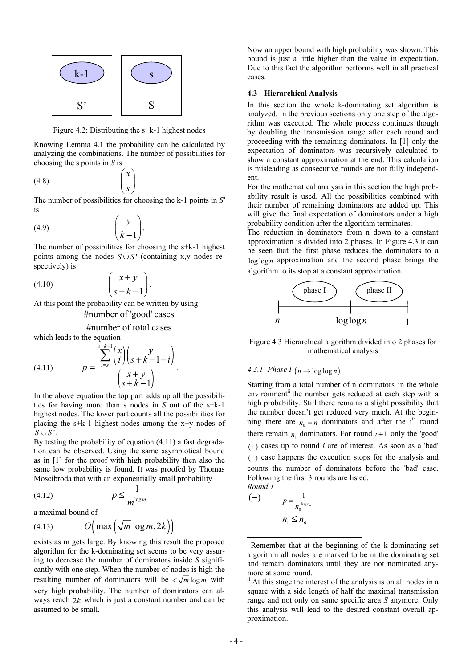

Figure 4.2: Distributing the s+k-1 highest nodes

Knowing Lemma 4.1 the probability can be calculated by analyzing the combinations. The number of possibilities for choosing the s points in *S* is

> *x*  $\begin{pmatrix} x \\ s \end{pmatrix}$ .

$$
(4.8)
$$

The number of possibilities for choosing the k-1 points in *S'* is

$$
(4.9) \qquad \qquad \begin{pmatrix} y \\ k-1 \end{pmatrix}.
$$

The number of possibilities for choosing the s+k-1 highest points among the nodes  $S \cup S'$  (containing x,y nodes respectively) is

$$
(4.10) \qquad \qquad \begin{pmatrix} x+y \\ s+k-1 \end{pmatrix}.
$$

At this point the probability can be written by using #number of 'good' cases

#number of total cases

which leads to the equation

(4.11) 
$$
p = \frac{\sum_{i=s}^{s+k-1} {x \choose i} {y \choose s+k-1-i}}{\binom{x+y}{s+k-1}}.
$$

In the above equation the top part adds up all the possibilities for having more than s nodes in *S* out of the s+k-1 highest nodes. The lower part counts all the possibilities for placing the s+k-1 highest nodes among the x+y nodes of  $S \cup S'$ .

By testing the probability of equation (4.11) a fast degradation can be observed. Using the same asymptotical bound as in [1] for the proof with high probability then also the same low probability is found. It was proofed by Thomas Moscibroda that with an exponentially small probability

$$
(4.12) \t\t\t p \le \frac{1}{m^{\log m}}
$$

a maximal bound of

$$
(4.13) \tO\Big(\max\Big(\sqrt{m}\log m, 2k\Big)\Big)
$$

exists as m gets large. By knowing this result the proposed algorithm for the k-dominating set seems to be very assuring to decrease the number of dominators inside *S* significantly with one step. When the number of nodes is high the resulting number of dominators will be  $\lt \sqrt{m} \log m$  with very high probability. The number of dominators can always reach 2*k* which is just a constant number and can be assumed to be small.

Now an upper bound with high probability was shown. This bound is just a little higher than the value in expectation. Due to this fact the algorithm performs well in all practical cases.

#### **4.3 Hierarchical Analysis**

In this section the whole k-dominating set algorithm is analyzed. In the previous sections only one step of the algorithm was executed. The whole process continues though by doubling the transmission range after each round and proceeding with the remaining dominators. In [1] only the expectation of dominators was recursively calculated to show a constant approximation at the end. This calculation is misleading as consecutive rounds are not fully independent.

For the mathematical analysis in this section the high probability result is used. All the possibilities combined with their number of remaining dominators are added up. This will give the final expectation of dominators under a high probability condition after the algorithm terminates.

The reduction in dominators from n down to a constant approximation is divided into 2 phases. In Figure 4.3 it can be seen that the first phase reduces the dominators to a  $loglog n$  approximation and the second phase brings the algorithm to its stop at a constant approximation.



Figure 4.3 Hierarchical algorithm divided into 2 phases for mathematical analysis

## *4.3.1 Phase I*  $(n \rightarrow \log \log n)$

Starting from a total number of n dominators<sup>i</sup> in the whole environment<sup>ii</sup> the number gets reduced at each step with a high probability. Still there remains a slight possibility that the number doesn't get reduced very much. At the beginning there are  $n_0 = n$  dominators and after the i<sup>th</sup> round there remain  $n_i$  dominators. For round  $i+1$  only the 'good'  $(+)$  cases up to round *i* are of interest. As soon as a 'bad' (−) case happens the execution stops for the analysis and counts the number of dominators before the 'bad' case. Following the first 3 rounds are listed. *Round 1* 

$$
p = \frac{1}{n_0^{\log n_o}}
$$
  

$$
n_1 \le n_o
$$

l

<sup>&</sup>lt;sup>i</sup> Remember that at the beginning of the k-dominating set algorithm all nodes are marked to be in the dominating set and remain dominators until they are not nominated anymore at some round.

ii At this stage the interest of the analysis is on all nodes in a square with a side length of half the maximal transmission range and not only on same specific area *S* anymore. Only this analysis will lead to the desired constant overall approximation.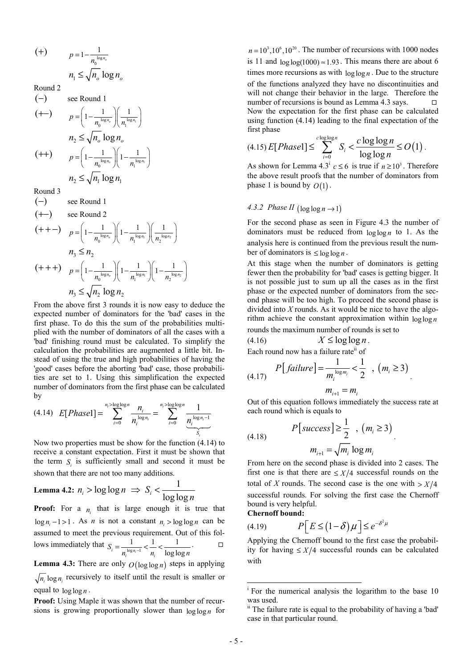$$
(+) \qquad p = 1 - \frac{1}{n_0^{\log n_o}}
$$

$$
n_1 \le \sqrt{n_o} \log n_o
$$

Round 2

$$
\begin{aligned}\n(-) & \text{see Round 1} \\
(\text{+-}) & \quad p = \left(1 - \frac{1}{n_0^{\log n_0}} \right) \left(\frac{1}{n_1^{\log n_1}}\right) \\
n_2 &\le \sqrt{n_0} \log n_0 \\
(\text{++}) & \quad p = \left(1 - \frac{1}{n_0^{\log n_0}} \right) \left(1 - \frac{1}{n_1^{\log n_1}}\right) \\
n_2 &\le \sqrt{n_1} \log n_1\n\end{aligned}
$$

Round 3

 $(-)$  see Round 1  $( +-)$  see Round 2  $(+ + -)$   $p = \left(1 - \frac{1}{n_0^{\log n_o}}\right)\left(1 - \frac{1}{n_1^{\log n_1}}\right)\left(\frac{1}{n_2^{\log n_2}}\right)$  $n_{3} \leq n_{2}$  $(+++)$   $p = \left(1 - \frac{1}{n_0^{\log n_o}}\right) \left(1 - \frac{1}{n_1^{\log n_1}}\right) \left(1 - \frac{1}{n_2^{\log n_2}}\right)$  $n_3 \leq \sqrt{n_2} \log n_2$ 

From the above first 3 rounds it is now easy to deduce the expected number of dominators for the 'bad' cases in the first phase. To do this the sum of the probabilities multiplied with the number of dominators of all the cases with a 'bad' finishing round must be calculated. To simplify the calculation the probabilities are augmented a little bit. Instead of using the true and high probabilities of having the 'good' cases before the aborting 'bad' case, those probabilities are set to 1. Using this simplification the expected number of dominators from the first phase can be calculated by

$$
(4.14) \quad E[Phase1] = \sum_{i=0}^{n_i > log log n} \frac{n_i}{n_i^{log n_i}} = \sum_{i=0}^{n_i > log log n} \frac{1}{\underbrace{n_i^{log n_i - 1}}_{S_i}}
$$

Now two properties must be show for the function (4.14) to receive a constant expectation. First it must be shown that the term  $S_i$  is sufficiently small and second it must be shown that there are not too many additions.

$$
\textbf{Lemma 4.2: } n_i > \log \log n \implies S_i < \frac{1}{\log \log n}
$$

**Proof:** For a  $n_i$  that is large enough it is true that  $\log n_i - 1 > 1$ . As *n* is not a constant  $n_i > \log \log n$  can be assumed to meet the previous requirement. Out of this follows immediately that  $S_i = \frac{1}{e^{(\log n_i - 1)}}$  $1 \quad 1 \quad 1$  $S_i = \frac{1}{n_i^{\log n_i - 1}} < \frac{1}{n_i} < \frac{1}{\log \log n}$ .

**Lemma 4.3:** There are only  $O(\log \log n)$  steps in applying  $\sqrt{n_i} \log n_i$  recursively to itself until the result is smaller or equal to  $\log \log n$ .

**Proof:** Using Maple it was shown that the number of recursions is growing proportionally slower than log log *n* for

 $n = 10<sup>3</sup> \cdot 10<sup>6</sup> \cdot 10<sup>20</sup>$ . The number of recursions with 1000 nodes is 11 and  $log log(1000) \approx 1.93$ . This means there are about 6 times more recursions as with  $\log \log n$ . Due to the structure of the functions analyzed they have no discontinuities and will not change their behavior in the large. Therefore the number of recursions is bound as Lemma 4.3 says.  $\Box$ Now the expectation for the first phase can be calculated using function (4.14) leading to the final expectation of the first phase

$$
(4.15) E[Phase1] \le \sum_{i=0}^{c \log \log n} S_i < \frac{c \log \log n}{\log \log n} \le O(1).
$$

As shown for Lemma 4.3<sup>1</sup>  $c \le 6$  is true if  $n \ge 10^3$ . Therefore the above result proofs that the number of dominators from phase 1 is bound by  $O(1)$ .

### *4.3.2 Phase II*  $(\log \log n \rightarrow 1)$

For the second phase as seen in Figure 4.3 the number of dominators must be reduced from  $\log \log n$  to 1. As the analysis here is continued from the previous result the number of dominators is  $\leq \log \log n$ .

At this stage when the number of dominators is getting fewer then the probability for 'bad' cases is getting bigger. It is not possible just to sum up all the cases as in the first phase or the expected number of dominators from the second phase will be too high. To proceed the second phase is divided into *X* rounds. As it would be nice to have the algorithm achieve the constant approximation within log log *n*

rounds the maximum number of rounds is set to

$$
(4.16) \t\t X \leq \log \log n.
$$

Each round now has a failure rate<sup>ii</sup> of

(4.17) 
$$
P[failure] = \frac{1}{m_i^{\log m_i}} < \frac{1}{2} , (m_i \ge 3)
$$

$$
m_{i+1} = m_i
$$

.

Out of this equation follows immediately the success rate at each round which is equals to

(4.18) 
$$
P\left[\text{success}\right] \ge \frac{1}{2}, \left(m_i \ge 3\right)
$$

$$
m_{i+1} = \sqrt{m_i} \log m_i
$$

From here on the second phase is divided into 2 cases. The first one is that there are  $\leq$  *X*/4 successful rounds on the total of *X* rounds. The second case is the one with  $> X/4$ successful rounds. For solving the first case the Chernoff bound is very helpful.

**Chernoff bound:** 

$$
(4.19) \t P\big[E \le (1-\delta)\mu\big] \le e^{-\delta^2\mu}
$$

Applying the Chernoff bound to the first case the probability for having  $\leq$  *X*/4 successful rounds can be calculated with

l <sup>i</sup> For the numerical analysis the logarithm to the base 10 was used.

ii The failure rate is equal to the probability of having a 'bad' case in that particular round.